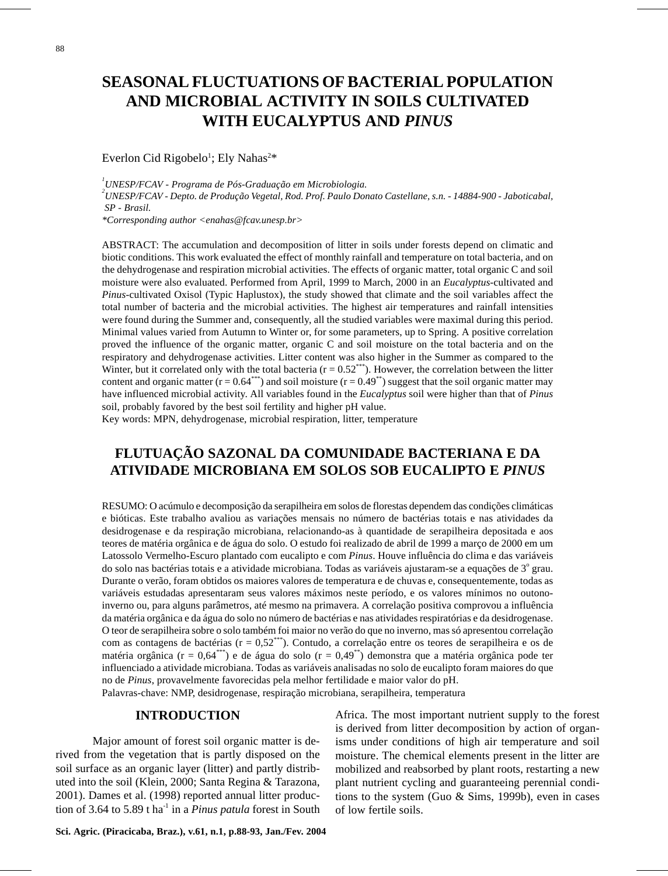# **SEASONAL FLUCTUATIONS OF BACTERIAL POPULATION AND MICROBIAL ACTIVITY IN SOILS CULTIVATED WITH EUCALYPTUS AND** *PINUS*

#### Everlon Cid Rigobelo<sup>1</sup>; Ely Nahas<sup>2\*</sup>

*1 UNESP/FCAV - Programa de Pós-Graduação em Microbiologia.*

*2 UNESP/FCAV - Depto. de Produção Vegetal, Rod. Prof. Paulo Donato Castellane, s.n. - 14884-900 - Jaboticabal, SP - Brasil.*

*\*Corresponding author <enahas@fcav.unesp.br>*

ABSTRACT: The accumulation and decomposition of litter in soils under forests depend on climatic and biotic conditions. This work evaluated the effect of monthly rainfall and temperature on total bacteria, and on the dehydrogenase and respiration microbial activities. The effects of organic matter, total organic C and soil moisture were also evaluated. Performed from April, 1999 to March, 2000 in an *Eucalyptus*-cultivated and *Pinus*-cultivated Oxisol (Typic Haplustox), the study showed that climate and the soil variables affect the total number of bacteria and the microbial activities. The highest air temperatures and rainfall intensities were found during the Summer and, consequently, all the studied variables were maximal during this period. Minimal values varied from Autumn to Winter or, for some parameters, up to Spring. A positive correlation proved the influence of the organic matter, organic C and soil moisture on the total bacteria and on the respiratory and dehydrogenase activities. Litter content was also higher in the Summer as compared to the Winter, but it correlated only with the total bacteria  $(r = 0.52^{***})$ . However, the correlation between the litter content and organic matter  $(r = 0.64^{***})$  and soil moisture  $(r = 0.49^{**})$  suggest that the soil organic matter may have influenced microbial activity. All variables found in the *Eucalyptus* soil were higher than that of *Pinus* soil, probably favored by the best soil fertility and higher pH value.

Key words: MPN, dehydrogenase, microbial respiration, litter, temperature

# **FLUTUAÇÃO SAZONAL DA COMUNIDADE BACTERIANA E DA ATIVIDADE MICROBIANA EM SOLOS SOB EUCALIPTO E** *PINUS*

RESUMO: O acúmulo e decomposição da serapilheira em solos de florestas dependem das condições climáticas e bióticas. Este trabalho avaliou as variações mensais no número de bactérias totais e nas atividades da desidrogenase e da respiração microbiana, relacionando-as à quantidade de serapilheira depositada e aos teores de matéria orgânica e de água do solo. O estudo foi realizado de abril de 1999 a março de 2000 em um Latossolo Vermelho-Escuro plantado com eucalipto e com *Pinus*. Houve influência do clima e das variáveis do solo nas bactérias totais e a atividade microbiana. Todas as variáveis ajustaram-se a equações de 3º grau. Durante o verão, foram obtidos os maiores valores de temperatura e de chuvas e, consequentemente, todas as variáveis estudadas apresentaram seus valores máximos neste período, e os valores mínimos no outonoinverno ou, para alguns parâmetros, até mesmo na primavera. A correlação positiva comprovou a influência da matéria orgânica e da água do solo no número de bactérias e nas atividades respiratórias e da desidrogenase. O teor de serapilheira sobre o solo também foi maior no verão do que no inverno, mas só apresentou correlação com as contagens de bactérias ( $r = 0.52***$ ). Contudo, a correlação entre os teores de serapilheira e os de matéria orgânica (r = 0,64<sup>\*\*\*</sup>) e de água do solo (r = 0,49<sup>\*\*</sup>) demonstra que a matéria orgânica pode ter influenciado a atividade microbiana. Todas as variáveis analisadas no solo de eucalipto foram maiores do que no de *Pinus*, provavelmente favorecidas pela melhor fertilidade e maior valor do pH.

Palavras-chave: NMP, desidrogenase, respiração microbiana, serapilheira, temperatura

### **INTRODUCTION**

Major amount of forest soil organic matter is derived from the vegetation that is partly disposed on the soil surface as an organic layer (litter) and partly distributed into the soil (Klein, 2000; Santa Regina & Tarazona, 2001). Dames et al. (1998) reported annual litter production of 3.64 to 5.89 t ha<sup>-1</sup> in a *Pinus patula* forest in South Africa. The most important nutrient supply to the forest is derived from litter decomposition by action of organisms under conditions of high air temperature and soil moisture. The chemical elements present in the litter are mobilized and reabsorbed by plant roots, restarting a new plant nutrient cycling and guaranteeing perennial conditions to the system (Guo & Sims, 1999b), even in cases of low fertile soils.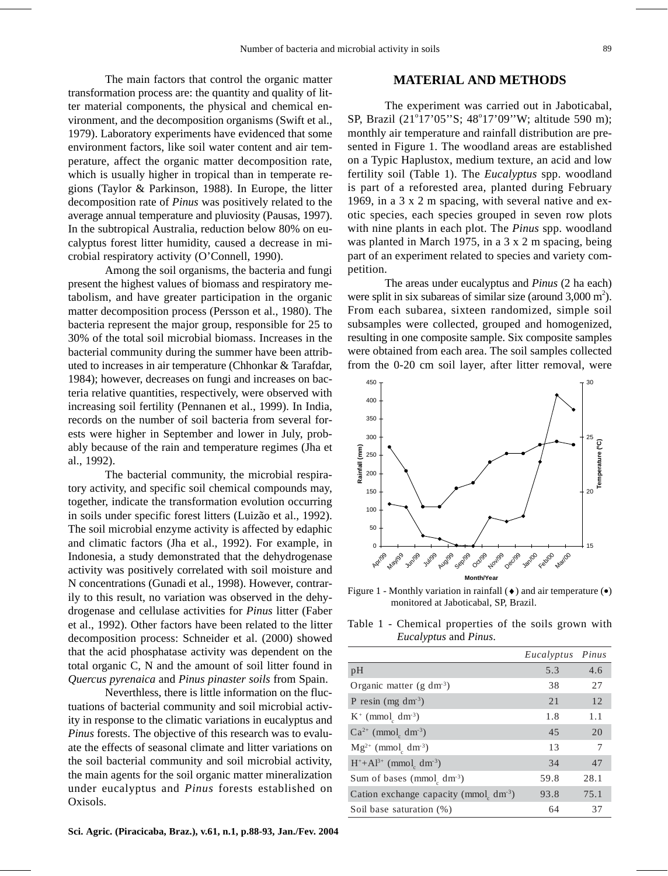The main factors that control the organic matter transformation process are: the quantity and quality of litter material components, the physical and chemical environment, and the decomposition organisms (Swift et al., 1979). Laboratory experiments have evidenced that some environment factors, like soil water content and air temperature, affect the organic matter decomposition rate, which is usually higher in tropical than in temperate regions (Taylor & Parkinson, 1988). In Europe, the litter decomposition rate of *Pinus* was positively related to the average annual temperature and pluviosity (Pausas, 1997). In the subtropical Australia, reduction below 80% on eucalyptus forest litter humidity, caused a decrease in microbial respiratory activity (O'Connell, 1990).

Among the soil organisms, the bacteria and fungi present the highest values of biomass and respiratory metabolism, and have greater participation in the organic matter decomposition process (Persson et al., 1980). The bacteria represent the major group, responsible for 25 to 30% of the total soil microbial biomass. Increases in the bacterial community during the summer have been attributed to increases in air temperature (Chhonkar & Tarafdar, 1984); however, decreases on fungi and increases on bacteria relative quantities, respectively, were observed with increasing soil fertility (Pennanen et al., 1999). In India, records on the number of soil bacteria from several forests were higher in September and lower in July, probably because of the rain and temperature regimes (Jha et al., 1992).

The bacterial community, the microbial respiratory activity, and specific soil chemical compounds may, together, indicate the transformation evolution occurring in soils under specific forest litters (Luizão et al., 1992). The soil microbial enzyme activity is affected by edaphic and climatic factors (Jha et al., 1992). For example, in Indonesia, a study demonstrated that the dehydrogenase activity was positively correlated with soil moisture and N concentrations (Gunadi et al., 1998). However, contrarily to this result, no variation was observed in the dehydrogenase and cellulase activities for *Pinus* litter (Faber et al., 1992). Other factors have been related to the litter decomposition process: Schneider et al. (2000) showed that the acid phosphatase activity was dependent on the total organic C, N and the amount of soil litter found in *Quercus pyrenaica* and *Pinus pinaster soils* from Spain.

Neverthless, there is little information on the fluctuations of bacterial community and soil microbial activity in response to the climatic variations in eucalyptus and *Pinus* forests. The objective of this research was to evaluate the effects of seasonal climate and litter variations on the soil bacterial community and soil microbial activity, the main agents for the soil organic matter mineralization under eucalyptus and *Pinus* forests established on Oxisols.

### **MATERIAL AND METHODS**

The experiment was carried out in Jaboticabal, SP, Brazil (21°17'05"S; 48°17'09"W; altitude 590 m); monthly air temperature and rainfall distribution are presented in Figure 1. The woodland areas are established on a Typic Haplustox, medium texture, an acid and low fertility soil (Table 1). The *Eucalyptus* spp. woodland is part of a reforested area, planted during February 1969, in a 3 x 2 m spacing, with several native and exotic species, each species grouped in seven row plots with nine plants in each plot. The *Pinus* spp. woodland was planted in March 1975, in a 3 x 2 m spacing, being part of an experiment related to species and variety competition.

The areas under eucalyptus and *Pinus* (2 ha each) were split in six subareas of similar size (around  $3,000 \text{ m}^2$ ). From each subarea, sixteen randomized, simple soil subsamples were collected, grouped and homogenized, resulting in one composite sample. Six composite samples were obtained from each area. The soil samples collected from the 0-20 cm soil layer, after litter removal, were



Figure 1 - Monthly variation in rainfall  $(\bullet)$  and air temperature  $(\bullet)$ monitored at Jaboticabal, SP, Brazil.

Table 1 - Chemical properties of the soils grown with *Eucalyptus* and *Pinus*.

|                                                       | Eucalyptus Pinus |      |
|-------------------------------------------------------|------------------|------|
| pH                                                    | 5.3              | 4.6  |
| Organic matter (g dm <sup>-3</sup> )                  | 38               | 27   |
| P resin (mg dm <sup>-3</sup> )                        | 21               | 12   |
| $K^+$ (mmol <sub>c</sub> dm <sup>-3</sup> )           | 1.8              | 1.1  |
| $Ca^{2+}$ (mmol dm <sup>-3</sup> )                    | 45               | 20   |
| $Mg^{2+}$ (mmol <sub>c</sub> dm <sup>-3</sup> )       | 13               | 7    |
| $H^+ + Al^{3+}$ (mmol <sub>c</sub> dm <sup>-3</sup> ) | 34               | 47   |
| Sum of bases (mmol <sub>c</sub> dm <sup>-3</sup> )    | 59.8             | 28.1 |
| Cation exchange capacity (mmol dm <sup>-3</sup> )     | 93.8             | 75.1 |
| Soil base saturation (%)                              | 64               | 37   |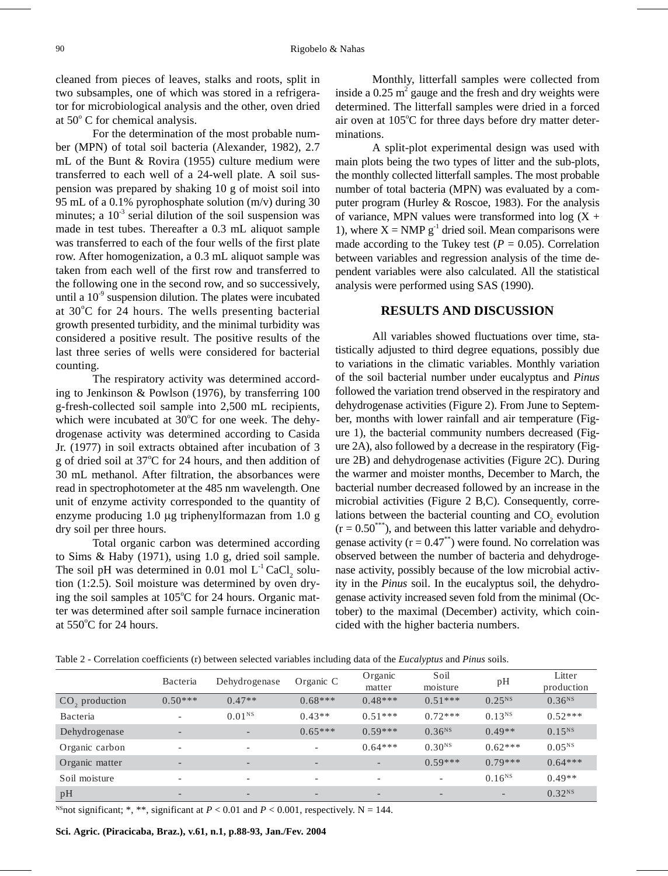cleaned from pieces of leaves, stalks and roots, split in two subsamples, one of which was stored in a refrigerator for microbiological analysis and the other, oven dried at 50° C for chemical analysis.

For the determination of the most probable number (MPN) of total soil bacteria (Alexander, 1982), 2.7 mL of the Bunt & Rovira (1955) culture medium were transferred to each well of a 24-well plate. A soil suspension was prepared by shaking 10 g of moist soil into 95 mL of a 0.1% pyrophosphate solution (m/v) during 30 minutes; a  $10^{-3}$  serial dilution of the soil suspension was made in test tubes. Thereafter a 0.3 mL aliquot sample was transferred to each of the four wells of the first plate row. After homogenization, a 0.3 mL aliquot sample was taken from each well of the first row and transferred to the following one in the second row, and so successively, until a  $10^{-9}$  suspension dilution. The plates were incubated at 30°C for 24 hours. The wells presenting bacterial growth presented turbidity, and the minimal turbidity was considered a positive result. The positive results of the last three series of wells were considered for bacterial counting.

The respiratory activity was determined according to Jenkinson & Powlson (1976), by transferring 100 g-fresh-collected soil sample into 2,500 mL recipients, which were incubated at 30°C for one week. The dehydrogenase activity was determined according to Casida Jr. (1977) in soil extracts obtained after incubation of 3 g of dried soil at 37°C for 24 hours, and then addition of 30 mL methanol. After filtration, the absorbances were read in spectrophotometer at the 485 nm wavelength. One unit of enzyme activity corresponded to the quantity of enzyme producing 1.0 µg triphenylformazan from 1.0 g dry soil per three hours.

Total organic carbon was determined according to Sims & Haby (1971), using 1.0 g, dried soil sample. The soil pH was determined in 0.01 mol  $L^{-1}$  CaCl<sub>2</sub> solution (1:2.5). Soil moisture was determined by oven drying the soil samples at 105°C for 24 hours. Organic matter was determined after soil sample furnace incineration at  $550^{\circ}$ C for 24 hours.

Monthly, litterfall samples were collected from inside a  $0.25$  m<sup>2</sup> gauge and the fresh and dry weights were determined. The litterfall samples were dried in a forced air oven at 105°C for three days before dry matter determinations.

A split-plot experimental design was used with main plots being the two types of litter and the sub-plots, the monthly collected litterfall samples. The most probable number of total bacteria (MPN) was evaluated by a computer program (Hurley & Roscoe, 1983). For the analysis of variance, MPN values were transformed into  $log(X +$ 1), where  $X = NMP g^{-1}$  dried soil. Mean comparisons were made according to the Tukey test ( $P = 0.05$ ). Correlation between variables and regression analysis of the time dependent variables were also calculated. All the statistical analysis were performed using SAS (1990).

## **RESULTS AND DISCUSSION**

All variables showed fluctuations over time, statistically adjusted to third degree equations, possibly due to variations in the climatic variables. Monthly variation of the soil bacterial number under eucalyptus and *Pinus* followed the variation trend observed in the respiratory and dehydrogenase activities (Figure 2). From June to September, months with lower rainfall and air temperature (Figure 1), the bacterial community numbers decreased (Figure 2A), also followed by a decrease in the respiratory (Figure 2B) and dehydrogenase activities (Figure 2C). During the warmer and moister months, December to March, the bacterial number decreased followed by an increase in the microbial activities (Figure 2 B,C). Consequently, correlations between the bacterial counting and  $CO_2$  evolution  $(r = 0.50^{***})$ , and between this latter variable and dehydrogenase activity ( $r = 0.47^{**}$ ) were found. No correlation was observed between the number of bacteria and dehydrogenase activity, possibly because of the low microbial activity in the *Pinus* soil. In the eucalyptus soil, the dehydrogenase activity increased seven fold from the minimal (October) to the maximal (December) activity, which coincided with the higher bacteria numbers.

|  |  |  |  | Table 2 - Correlation coefficients (r) between selected variables including data of the <i>Eucalyptus</i> and <i>Pinus</i> soils. |
|--|--|--|--|-----------------------------------------------------------------------------------------------------------------------------------|
|  |  |  |  |                                                                                                                                   |

|                  | <b>Bacteria</b>          | Dehydrogenase            | Organic C | Organic<br>matter | Soil<br>moisture         | pH          | Litter<br>production |  |
|------------------|--------------------------|--------------------------|-----------|-------------------|--------------------------|-------------|----------------------|--|
| $CO2$ production | $0.50***$                | $0.47**$                 | $0.68***$ | $0.48***$         | $0.51***$                | $0.25^{NS}$ | $0.36^{NS}$          |  |
| Bacteria         | $\overline{\phantom{a}}$ | $0.01^{NS}$              | $0.43**$  | $0.51***$         | $0.72***$                | $0.13^{NS}$ | $0.52***$            |  |
| Dehydrogenase    | $\overline{\phantom{0}}$ | $\overline{\phantom{a}}$ | $0.65***$ | $0.59***$         | $0.36^{NS}$              | $0.49**$    | $0.15^{NS}$          |  |
| Organic carbon   |                          | $\overline{\phantom{a}}$ |           | $0.64***$         | $0.30^{NS}$              | $0.62***$   | $0.05^{NS}$          |  |
| Organic matter   | $\overline{\phantom{0}}$ | $\overline{\phantom{a}}$ |           |                   | $0.59***$                | $0.79***$   | $0.64***$            |  |
| Soil moisture    |                          | $\overline{\phantom{a}}$ |           |                   | $\overline{\phantom{0}}$ | $0.16^{NS}$ | $0.49**$             |  |
| pH               |                          | $\overline{\phantom{a}}$ |           |                   | $\overline{\phantom{0}}$ |             | $0.32^{NS}$          |  |

<sup>NS</sup>not significant; \*, \*\*, significant at  $P < 0.01$  and  $P < 0.001$ , respectively. N = 144.

**Sci. Agric. (Piracicaba, Braz.), v.61, n.1, p.88-93, Jan./Fev. 2004**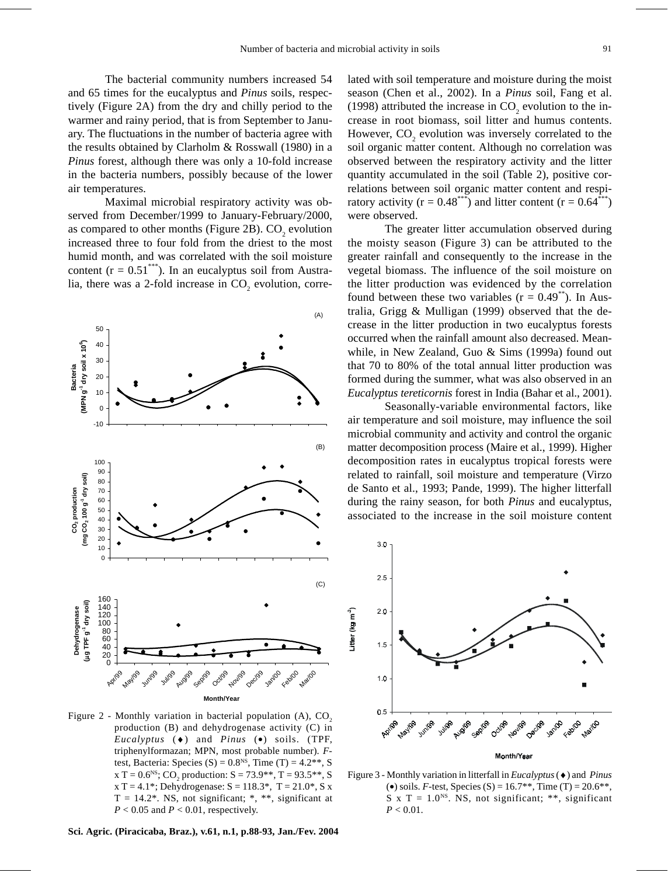The bacterial community numbers increased 54 and 65 times for the eucalyptus and *Pinus* soils, respectively (Figure 2A) from the dry and chilly period to the warmer and rainy period, that is from September to January. The fluctuations in the number of bacteria agree with the results obtained by Clarholm & Rosswall (1980) in a *Pinus* forest, although there was only a 10-fold increase in the bacteria numbers, possibly because of the lower air temperatures.

Maximal microbial respiratory activity was observed from December/1999 to January-February/2000, as compared to other months (Figure 2B).  $CO<sub>2</sub>$  evolution increased three to four fold from the driest to the most humid month, and was correlated with the soil moisture content ( $r = 0.51^{***}$ ). In an eucalyptus soil from Australia, there was a 2-fold increase in  $CO_2$  evolution, corre-



Figure 2 - Monthly variation in bacterial population  $(A)$ ,  $CO<sub>2</sub>$ production (B) and dehydrogenase activity (C) in *Eucalyptus* (♦) and *Pinus* (•) soils. (TPF, triphenylformazan; MPN, most probable number). *F*test, Bacteria: Species (S) =  $0.8<sup>NS</sup>$ , Time (T) =  $4.2<sup>**</sup>$ , S x T =  $0.6^{NS}$ ; CO<sub>2</sub> production: S =  $73.9^{**}$ , T =  $93.5^{**}$ , S  $x T = 4.1$ <sup>\*</sup>; Dehydrogenase:  $S = 118.3$ <sup>\*</sup>,  $T = 21.0$ <sup>\*</sup>, S x  $T = 14.2$ <sup>\*</sup>. NS, not significant; \*, \*\*, significant at  $P < 0.05$  and  $P < 0.01$ , respectively.

**Sci. Agric. (Piracicaba, Braz.), v.61, n.1, p.88-93, Jan./Fev. 2004**

lated with soil temperature and moisture during the moist season (Chen et al., 2002). In a *Pinus* soil, Fang et al. (1998) attributed the increase in  $CO_2$  evolution to the increase in root biomass, soil litter and humus contents. However,  $CO_2$  evolution was inversely correlated to the soil organic matter content. Although no correlation was observed between the respiratory activity and the litter quantity accumulated in the soil (Table 2), positive correlations between soil organic matter content and respiratory activity ( $r = 0.48^{***}$ ) and litter content ( $r = 0.64^{***}$ ) were observed.

The greater litter accumulation observed during the moisty season (Figure 3) can be attributed to the greater rainfall and consequently to the increase in the vegetal biomass. The influence of the soil moisture on the litter production was evidenced by the correlation found between these two variables  $(r = 0.49^{**})$ . In Australia, Grigg & Mulligan (1999) observed that the decrease in the litter production in two eucalyptus forests occurred when the rainfall amount also decreased. Meanwhile, in New Zealand, Guo & Sims (1999a) found out that 70 to 80% of the total annual litter production was formed during the summer, what was also observed in an *Eucalyptus tereticornis* forest in India (Bahar et al., 2001).

Seasonally-variable environmental factors, like air temperature and soil moisture, may influence the soil microbial community and activity and control the organic matter decomposition process (Maire et al., 1999). Higher decomposition rates in eucalyptus tropical forests were related to rainfall, soil moisture and temperature (Virzo de Santo et al., 1993; Pande, 1999). The higher litterfall during the rainy season, for both *Pinus* and eucalyptus, associated to the increase in the soil moisture content



Figure 3 - Monthly variation in litterfall in *Eucalyptus* (♦) and *Pinus* (•) soils. *F*-test, Species (S) = 16.7<sup>\*\*</sup>, Time (T) = 20.6<sup>\*\*</sup>, S x T =  $1.0<sup>NS</sup>$ . NS, not significant; \*\*, significant  $P < 0.01$ .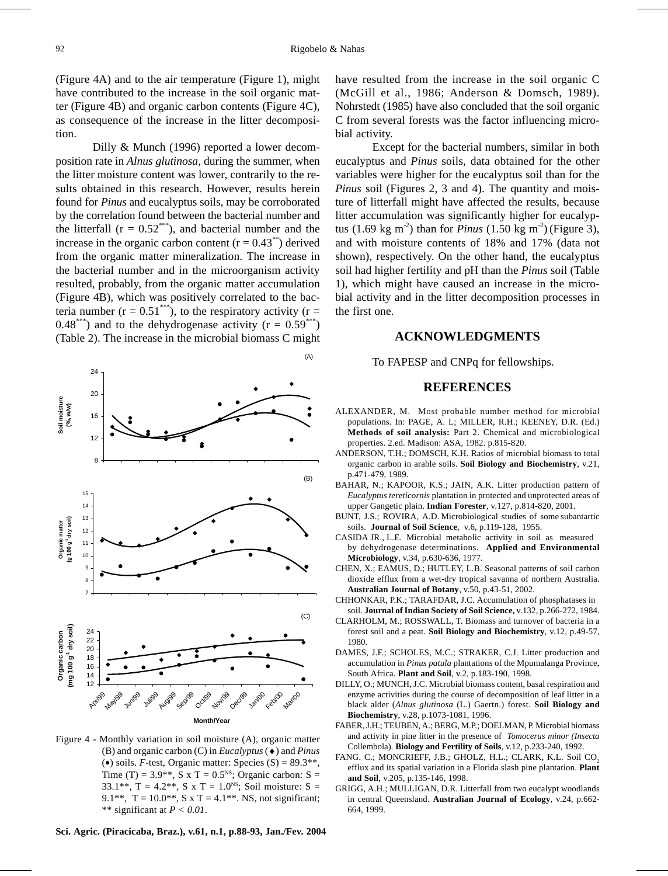(Figure 4A) and to the air temperature (Figure 1), might have contributed to the increase in the soil organic matter (Figure 4B) and organic carbon contents (Figure 4C), as consequence of the increase in the litter decomposition.

Dilly & Munch (1996) reported a lower decomposition rate in *Alnus glutinosa,* during the summer, when the litter moisture content was lower, contrarily to the results obtained in this research. However, results herein found for *Pinus* and eucalyptus soils, may be corroborated by the correlation found between the bacterial number and the litterfall  $(r = 0.52^{***})$ , and bacterial number and the increase in the organic carbon content  $(r = 0.43^{**})$  derived from the organic matter mineralization. The increase in the bacterial number and in the microorganism activity resulted, probably, from the organic matter accumulation (Figure 4B), which was positively correlated to the bacteria number ( $r = 0.51^{***}$ ), to the respiratory activity ( $r =$ 0.48\*\*\*) and to the dehydrogenase activity ( $r = 0.59***$ ) (Table 2). The increase in the microbial biomass C might



Figure 4 - Monthly variation in soil moisture (A), organic matter (B) and organic carbon (C) in *Eucalyptus* (♦) and *Pinus* ( $\bullet$ ) soils. *F*-test, Organic matter: Species (S) = 89.3<sup>\*\*</sup>, Time (T) = 3.9<sup>\*</sup>\*, S x T = 0.5<sup>NS</sup>; Organic carbon: S = 33.1\*\*, T = 4.2\*\*, S x T = 1.0<sup>NS</sup>; Soil moisture: S = 9.1\*\*, T = 10.0\*\*, S x T = 4.1\*\*. NS, not significant; \*\* significant at *P < 0.01*.

have resulted from the increase in the soil organic C (McGill et al., 1986; Anderson & Domsch, 1989). Nohrstedt (1985) have also concluded that the soil organic C from several forests was the factor influencing microbial activity.

Except for the bacterial numbers, similar in both eucalyptus and *Pinus* soils, data obtained for the other variables were higher for the eucalyptus soil than for the *Pinus* soil (Figures 2, 3 and 4). The quantity and moisture of litterfall might have affected the results, because litter accumulation was significantly higher for eucalyptus  $(1.69 \text{ kg m}^2)$  than for *Pinus*  $(1.50 \text{ kg m}^2)$  (Figure 3), and with moisture contents of 18% and 17% (data not shown), respectively. On the other hand, the eucalyptus soil had higher fertility and pH than the *Pinus* soil (Table 1), which might have caused an increase in the microbial activity and in the litter decomposition processes in the first one.

#### **ACKNOWLEDGMENTS**

To FAPESP and CNPq for fellowships.

#### **REFERENCES**

- ALEXANDER, M. Most probable number method for microbial populations. In: PAGE, A. L; MILLER, R.H.; KEENEY, D.R. (Ed.) **Methods of soil analysis:** Part 2. Chemical and microbiological properties. 2.ed. Madison: ASA, 1982. p.815-820.
- ANDERSON, T.H.; DOMSCH, K.H. Ratios of microbial biomass to total organic carbon in arable soils. **Soil Biology and Biochemistry**, v.21, p.471-479, 1989.
- BAHAR, N.; KAPOOR, K.S.; JAIN, A.K. Litter production pattern of *Eucalyptus tereticornis* plantation in protected and unprotected areas of upper Gangetic plain. **Indian Forester**, v.127, p.814-820, 2001.
- BUNT, J.S.; ROVIRA, A.D. Microbiological studies of some subantartic soils. **Journal of Soil Science**, v.6, p.119-128, 1955.
- CASIDA JR., L.E. Microbial metabolic activity in soil as measured by dehydrogenase determinations. **Applied and Environmental Microbiology**, v.34, p.630-636, 1977.
- CHEN, X.; EAMUS, D.; HUTLEY, L.B. Seasonal patterns of soil carbon dioxide efflux from a wet-dry tropical savanna of northern Australia. **Australian Journal of Botany**, v.50, p.43-51, 2002.
- CHHONKAR, P.K.; TARAFDAR, J.C. Accumulation of phosphatases in soil. **Journal of Indian Society of Soil Science,** v.132, p.266-272, 1984.
- CLARHOLM, M.; ROSSWALL, T. Biomass and turnover of bacteria in a forest soil and a peat. **Soil Biology and Biochemistry**, v.12, p.49-57, 1980.
- DAMES, J.F.; SCHOLES, M.C.; STRAKER, C.J. Litter production and accumulation in *Pinus patula* plantations of the Mpumalanga Province, South Africa. **Plant and Soil**, v.2, p.183-190, 1998.
- DILLY, O.; MUNCH, J.C. Microbial biomass content, basal respiration and enzyme activities during the course of decomposition of leaf litter in a black alder (*Alnus glutinosa* (L.) Gaertn.) forest. **Soil Biology and Biochemistry**, v.28, p.1073-1081, 1996.
- FABER, J.H.; TEUBEN, A.; BERG, M.P.; DOELMAN, P. Microbial biomass and activity in pine litter in the presence of *Tomocerus minor (Insecta* Collembola). **Biology and Fertility of Soils**, v.12, p.233-240, 1992.
- FANG. C.; MONCRIEFF, J.B.; GHOLZ, H.L.; CLARK, K.L. Soil CO. efflux and its spatial variation in a Florida slash pine plantation. **Plant and Soil**, v.205, p.135-146, 1998.
- GRIGG, A.H.; MULLIGAN, D.R. Litterfall from two eucalypt woodlands in central Queensland. **Australian Journal of Ecology**, v.24, p.662- 664, 1999.

**Sci. Agric. (Piracicaba, Braz.), v.61, n.1, p.88-93, Jan./Fev. 2004**